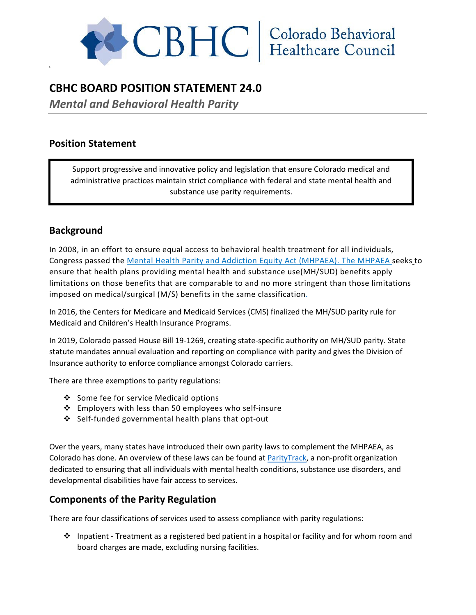

# **CBHC BOARD POSITION STATEMENT 24.0**

*Mental and Behavioral Health Parity* 

## **Position Statement**

S

Support progressive and innovative policy and legislation that ensure Colorado medical and administrative practices maintain strict compliance with federal and state mental health and substance use parity requirements.

# **Background**

In 2008, in an effort to ensure equal access to behavioral health treatment for all individuals, Congress passed the [Mental Health Parity and Addiction Equity Act \(MHPAEA\).](https://www.cms.gov/cciio/programs-and-initiatives/other-insurance-protections/mhpaea_factsheet.html) The MHPAEA seeks to ensure that health plans providing mental health and substance use(MH/SUD) benefits apply limitations on those benefits that are comparable to and no more stringent than those limitations imposed on medical/surgical (M/S) benefits in the same classification.

In 2016, the Centers for Medicare and Medicaid Services (CMS) finalized the MH/SUD parity rule for Medicaid and Children's Health Insurance Programs.

In 2019, Colorado passed House Bill 19-1269, creating state-specific authority on MH/SUD parity. State statute mandates annual evaluation and reporting on compliance with parity and gives the Division of Insurance authority to enforce compliance amongst Colorado carriers.

There are three exemptions to parity regulations:

- Some fee for service Medicaid options
- Employers with less than 50 employees who self-insure
- Self-funded governmental health plans that opt-out

Over the years, many states have introduced their own parity laws to complement the MHPAEA, as Colorado has done. An overview of these laws can be found at [ParityTrack,](https://www.paritytrack.org/report/colorado/colorado-law/) a non-profit organization dedicated to ensuring that all individuals with mental health conditions, substance use disorders, and developmental disabilities have fair access to services.

### **Components of the Parity Regulation**

There are four classifications of services used to assess compliance with parity regulations:

 $\div$  Inpatient - Treatment as a registered bed patient in a hospital or facility and for whom room and board charges are made, excluding nursing facilities.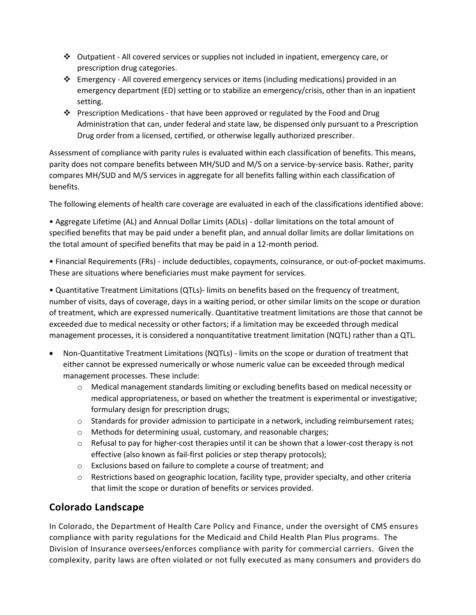- $\div$  Outpatient All covered services or supplies not included in inpatient, emergency care, or prescription drug categories.
- $\div$  Emergency All covered emergency services or items (including medications) provided in an emergency department (ED) setting or to stabilize an emergency/crisis, other than in an inpatient setting.
- Prescription Medications that have been approved or regulated by the Food and Drug Administration that can, under federal and state law, be dispensed only pursuant to a Prescription Drug order from a licensed, certified, or otherwise legally authorized prescriber.

Assessment of compliance with parity rules is evaluated within each classification of benefits. This means, parity does not compare benefits between MH/SUD and M/S on a service-by-service basis. Rather, parity compares MH/SUD and M/S services in aggregate for all benefits falling within each classification of benefits.

The following elements of health care coverage are evaluated in each of the classifications identified above:

• Aggregate Lifetime (AL) and Annual Dollar Limits (ADLs) - dollar limitations on the total amount of specified benefits that may be paid under a benefit plan, and annual dollar limits are dollar limitations on the total amount of specified benefits that may be paid in a 12-month period.

• Financial Requirements (FRs) - include deductibles, copayments, coinsurance, or out-of-pocket maximums. These are situations where beneficiaries must make payment for services.

• Quantitative Treatment Limitations (QTLs)- limits on benefits based on the frequency of treatment, number of visits, days of coverage, days in a waiting period, or other similar limits on the scope or duration of treatment, which are expressed numerically. Quantitative treatment limitations are those that cannot be exceeded due to medical necessity or other factors; if a limitation may be exceeded through medical management processes, it is considered a nonquantitative treatment limitation (NQTL) rather than a QTL.

- Non-Quantitative Treatment Limitations (NQTLs) limits on the scope or duration of treatment that either cannot be expressed numerically or whose numeric value can be exceeded through medical management processes. These include:
	- o Medical management standards limiting or excluding benefits based on medical necessity or medical appropriateness, or based on whether the treatment is experimental or investigative; formulary design for prescription drugs;
	- o Standards for provider admission to participate in a network, including reimbursement rates;
	- o Methods for determining usual, customary, and reasonable charges;
	- $\circ$  Refusal to pay for higher-cost therapies until it can be shown that a lower-cost therapy is not effective (also known as fail-first policies or step therapy protocols);
	- o Exclusions based on failure to complete a course of treatment; and
	- $\circ$  Restrictions based on geographic location, facility type, provider specialty, and other criteria that limit the scope or duration of benefits or services provided.

# **Colorado Landscape**

In Colorado, the Department of Health Care Policy and Finance, under the oversight of CMS ensures compliance with parity regulations for the Medicaid and Child Health Plan Plus programs. The Division of Insurance oversees/enforces compliance with parity for commercial carriers. Given the complexity, parity laws are often violated or not fully executed as many consumers and providers do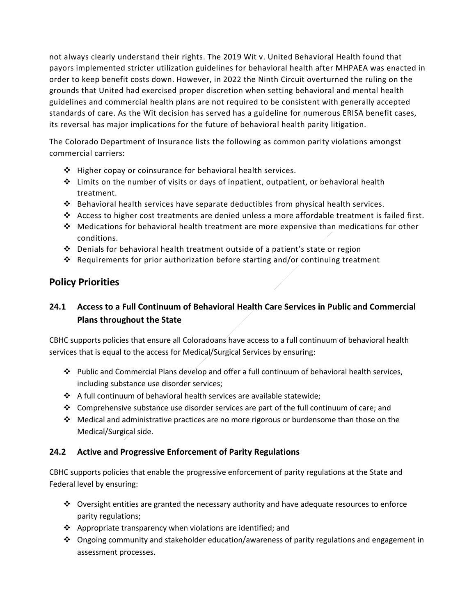not always clearly understand their rights. The 2019 Wit v. United Behavioral Health found that payors implemented stricter utilization guidelines for behavioral health after MHPAEA was enacted in order to keep benefit costs down. However, in 2022 the Ninth Circuit overturned the ruling on the grounds that United had exercised proper discretion when setting behavioral and mental health guidelines and commercial health plans are not required to be consistent with generally accepted standards of care. As the Wit decision has served has a guideline for numerous ERISA benefit cases, its reversal has major implications for the future of behavioral health parity litigation.

The Colorado Department of Insurance lists the following as common parity violations amongst commercial carriers:

- $\div$  Higher copay or coinsurance for behavioral health services.
- $\div$  Limits on the number of visits or days of inpatient, outpatient, or behavioral health treatment.
- Behavioral health services have separate deductibles from physical health services.
- $\triangle$  Access to higher cost treatments are denied unless a more affordable treatment is failed first.
- $\clubsuit$  Medications for behavioral health treatment are more expensive than medications for other conditions.
- $\div$  Denials for behavioral health treatment outside of a patient's state or region
- Requirements for prior authorization before starting and/or continuing treatment

## **Policy Priorities**

## **24.1 Access to a Full Continuum of Behavioral Health Care Services in Public and Commercial Plans throughout the State**

CBHC supports policies that ensure all Coloradoans have access to a full continuum of behavioral health services that is equal to the access for Medical/Surgical Services by ensuring:

- Public and Commercial Plans develop and offer a full continuum of behavioral health services, including substance use disorder services;
- $\triangle$  A full continuum of behavioral health services are available statewide;
- $\div$  Comprehensive substance use disorder services are part of the full continuum of care; and
- $\cdot \cdot$  Medical and administrative practices are no more rigorous or burdensome than those on the Medical/Surgical side.

### **24.2 Active and Progressive Enforcement of Parity Regulations**

CBHC supports policies that enable the progressive enforcement of parity regulations at the State and Federal level by ensuring:

- $\div$  Oversight entities are granted the necessary authority and have adequate resources to enforce parity regulations;
- $\clubsuit$  Appropriate transparency when violations are identified; and
- Ongoing community and stakeholder education/awareness of parity regulations and engagement in assessment processes.